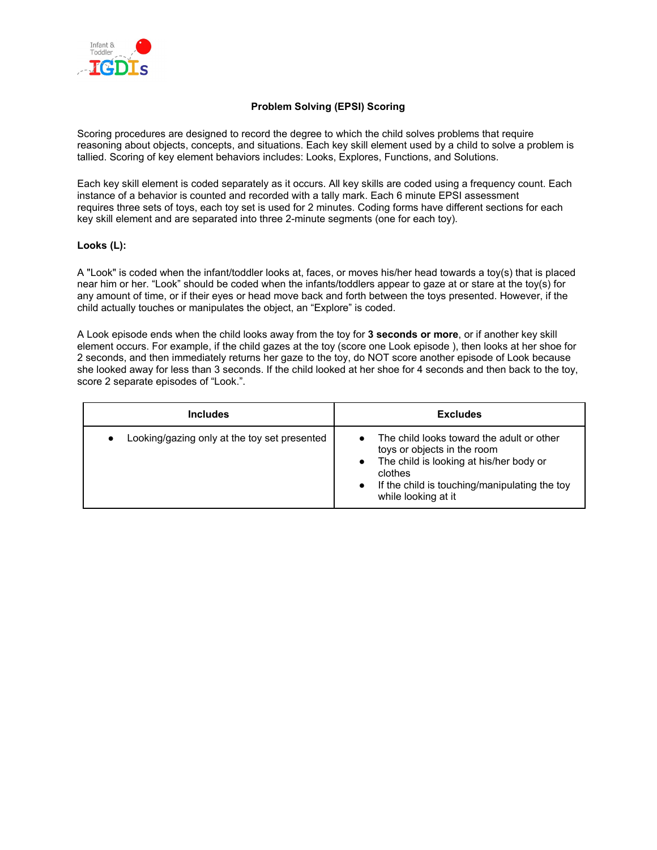

## **Problem Solving (EPSI) Scoring**

Scoring procedures are designed to record the degree to which the child solves problems that require reasoning about objects, concepts, and situations. Each key skill element used by a child to solve a problem is tallied. Scoring of key element behaviors includes: Looks, Explores, Functions, and Solutions.

Each key skill element is coded separately as it occurs. All key skills are coded using a frequency count. Each instance of a behavior is counted and recorded with a tally mark. Each 6 minute EPSI assessment requires three sets of toys, each toy set is used for 2 minutes. Coding forms have different sections for each key skill element and are separated into three 2-minute segments (one for each toy).

#### **Looks (L):**

A "Look" is coded when the infant/toddler looks at, faces, or moves his/her head towards a toy(s) that is placed near him or her. "Look" should be coded when the infants/toddlers appear to gaze at or stare at the toy(s) for any amount of time, or if their eyes or head move back and forth between the toys presented. However, if the child actually touches or manipulates the object, an "Explore" is coded.

A Look episode ends when the child looks away from the toy for **3 seconds or more**, or if another key skill element occurs. For example, if the child gazes at the toy (score one Look episode ), then looks at her shoe for 2 seconds, and then immediately returns her gaze to the toy, do NOT score another episode of Look because she looked away for less than 3 seconds. If the child looked at her shoe for 4 seconds and then back to the toy, score 2 separate episodes of "Look.".

| <b>Includes</b>                                           | <b>Excludes</b>                                                                                                                                                                                                                  |
|-----------------------------------------------------------|----------------------------------------------------------------------------------------------------------------------------------------------------------------------------------------------------------------------------------|
| Looking/gazing only at the toy set presented<br>$\bullet$ | The child looks toward the adult or other<br>toys or objects in the room<br>The child is looking at his/her body or<br>$\bullet$<br>clothes<br>If the child is touching/manipulating the toy<br>$\bullet$<br>while looking at it |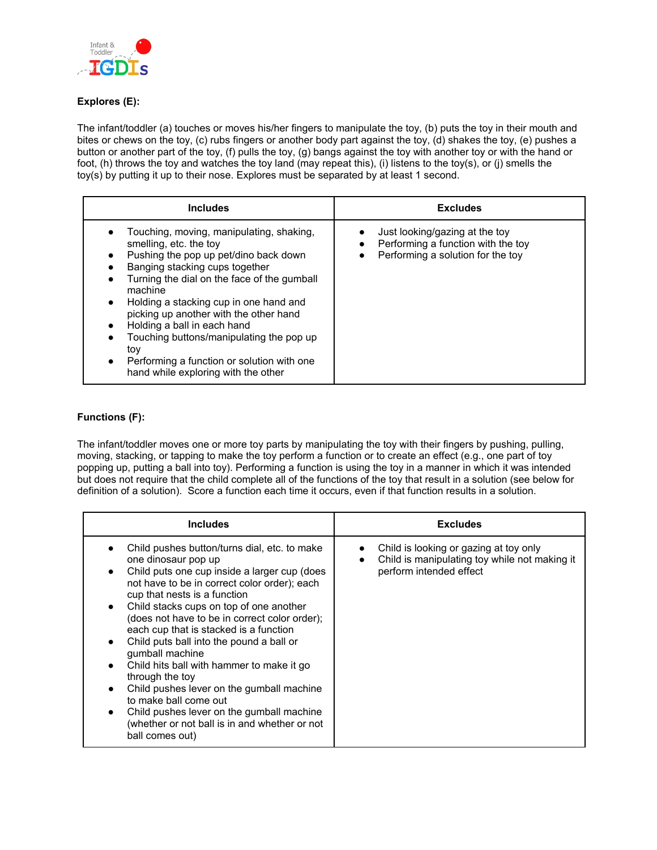

# **Explores (E):**

The infant/toddler (a) touches or moves his/her fingers to manipulate the toy, (b) puts the toy in their mouth and bites or chews on the toy, (c) rubs fingers or another body part against the toy, (d) shakes the toy, (e) pushes a button or another part of the toy, (f) pulls the toy, (g) bangs against the toy with another toy or with the hand or foot, (h) throws the toy and watches the toy land (may repeat this), (i) listens to the toy(s), or (j) smells the toy(s) by putting it up to their nose. Explores must be separated by at least 1 second.

| <b>Includes</b>                                                                                                                                                                                                                                                                                                                                                                                                                                                                 | <b>Excludes</b>                                                                                                                     |
|---------------------------------------------------------------------------------------------------------------------------------------------------------------------------------------------------------------------------------------------------------------------------------------------------------------------------------------------------------------------------------------------------------------------------------------------------------------------------------|-------------------------------------------------------------------------------------------------------------------------------------|
| Touching, moving, manipulating, shaking,<br>smelling, etc. the toy<br>Pushing the pop up pet/dino back down<br>Banging stacking cups together<br>Turning the dial on the face of the gumball<br>machine<br>Holding a stacking cup in one hand and<br>$\bullet$<br>picking up another with the other hand<br>Holding a ball in each hand<br>Touching buttons/manipulating the pop up<br>tov<br>Performing a function or solution with one<br>hand while exploring with the other | Just looking/gazing at the toy<br>Performing a function with the toy<br>$\bullet$<br>Performing a solution for the toy<br>$\bullet$ |

## **Functions (F):**

The infant/toddler moves one or more toy parts by manipulating the toy with their fingers by pushing, pulling, moving, stacking, or tapping to make the toy perform a function or to create an effect (e.g., one part of toy popping up, putting a ball into toy). Performing a function is using the toy in a manner in which it was intended but does not require that the child complete all of the functions of the toy that result in a solution (see below for definition of a solution). Score a function each time it occurs, even if that function results in a solution.

| <b>Includes</b>                                                                                                                                                                                                                                                                                                                                                                                                                                                                                                                                                                                                                                                 | <b>Excludes</b>                                                                                                    |
|-----------------------------------------------------------------------------------------------------------------------------------------------------------------------------------------------------------------------------------------------------------------------------------------------------------------------------------------------------------------------------------------------------------------------------------------------------------------------------------------------------------------------------------------------------------------------------------------------------------------------------------------------------------------|--------------------------------------------------------------------------------------------------------------------|
| Child pushes button/turns dial, etc. to make<br>one dinosaur pop up<br>Child puts one cup inside a larger cup (does<br>not have to be in correct color order); each<br>cup that nests is a function<br>Child stacks cups on top of one another<br>(does not have to be in correct color order);<br>each cup that is stacked is a function<br>Child puts ball into the pound a ball or<br>gumball machine<br>Child hits ball with hammer to make it go<br>through the toy<br>Child pushes lever on the gumball machine<br>to make ball come out<br>Child pushes lever on the gumball machine<br>(whether or not ball is in and whether or not<br>ball comes out) | Child is looking or gazing at toy only<br>Child is manipulating toy while not making it<br>perform intended effect |